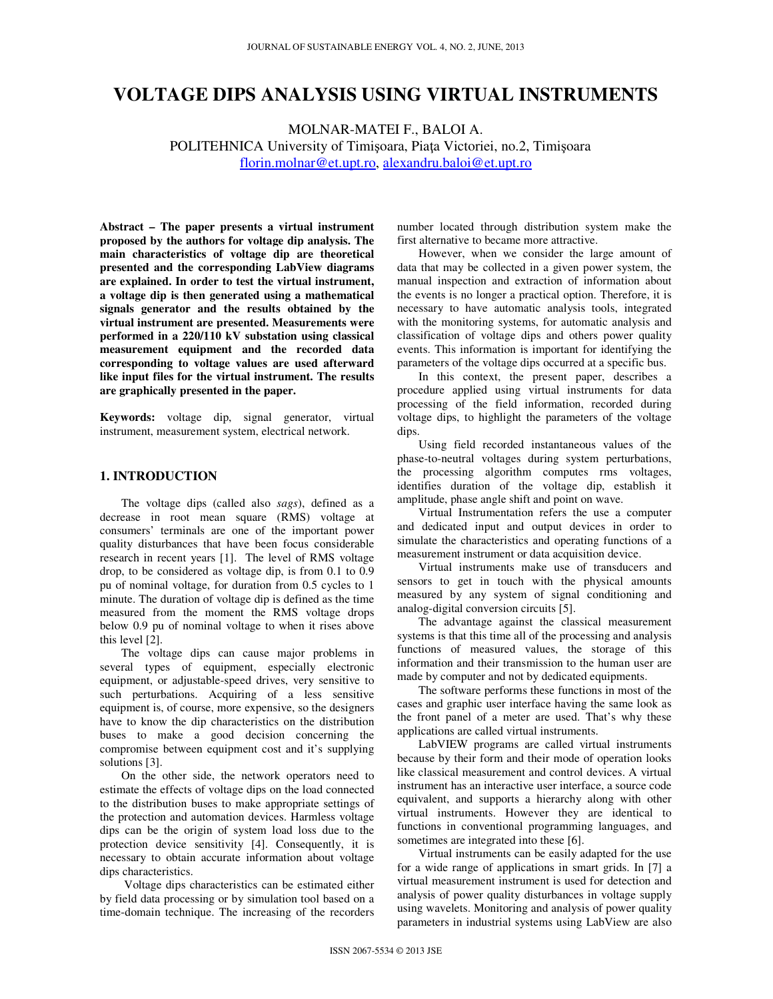# **VOLTAGE DIPS ANALYSIS USING VIRTUAL INSTRUMENTS**

MOLNAR-MATEI F., BALOI A. POLITEHNICA University of Timişoara, Piaţa Victoriei, no.2, Timişoara florin.molnar@et.upt.ro, alexandru.baloi@et.upt.ro

**Abstract – The paper presents a virtual instrument proposed by the authors for voltage dip analysis. The main characteristics of voltage dip are theoretical presented and the corresponding LabView diagrams are explained. In order to test the virtual instrument, a voltage dip is then generated using a mathematical signals generator and the results obtained by the virtual instrument are presented. Measurements were performed in a 220/110 kV substation using classical measurement equipment and the recorded data corresponding to voltage values are used afterward like input files for the virtual instrument. The results are graphically presented in the paper.** 

**Keywords:** voltage dip, signal generator, virtual instrument, measurement system, electrical network.

#### **1. INTRODUCTION**

The voltage dips (called also *sags*), defined as a decrease in root mean square (RMS) voltage at consumers' terminals are one of the important power quality disturbances that have been focus considerable research in recent years [1]. The level of RMS voltage drop, to be considered as voltage dip, is from 0.1 to 0.9 pu of nominal voltage, for duration from 0.5 cycles to 1 minute. The duration of voltage dip is defined as the time measured from the moment the RMS voltage drops below 0.9 pu of nominal voltage to when it rises above this level [2].

The voltage dips can cause major problems in several types of equipment, especially electronic equipment, or adjustable-speed drives, very sensitive to such perturbations. Acquiring of a less sensitive equipment is, of course, more expensive, so the designers have to know the dip characteristics on the distribution buses to make a good decision concerning the compromise between equipment cost and it's supplying solutions [3].

On the other side, the network operators need to estimate the effects of voltage dips on the load connected to the distribution buses to make appropriate settings of the protection and automation devices. Harmless voltage dips can be the origin of system load loss due to the protection device sensitivity [4]. Consequently, it is necessary to obtain accurate information about voltage dips characteristics.

 Voltage dips characteristics can be estimated either by field data processing or by simulation tool based on a time-domain technique. The increasing of the recorders

number located through distribution system make the first alternative to became more attractive.

However, when we consider the large amount of data that may be collected in a given power system, the manual inspection and extraction of information about the events is no longer a practical option. Therefore, it is necessary to have automatic analysis tools, integrated with the monitoring systems, for automatic analysis and classification of voltage dips and others power quality events. This information is important for identifying the parameters of the voltage dips occurred at a specific bus.

In this context, the present paper, describes a procedure applied using virtual instruments for data processing of the field information, recorded during voltage dips, to highlight the parameters of the voltage dips.

Using field recorded instantaneous values of the phase-to-neutral voltages during system perturbations, the processing algorithm computes rms voltages, identifies duration of the voltage dip, establish it amplitude, phase angle shift and point on wave.

Virtual Instrumentation refers the use a computer and dedicated input and output devices in order to simulate the characteristics and operating functions of a measurement instrument or data acquisition device.

Virtual instruments make use of transducers and sensors to get in touch with the physical amounts measured by any system of signal conditioning and analog-digital conversion circuits [5].

The advantage against the classical measurement systems is that this time all of the processing and analysis functions of measured values, the storage of this information and their transmission to the human user are made by computer and not by dedicated equipments.

The software performs these functions in most of the cases and graphic user interface having the same look as the front panel of a meter are used. That's why these applications are called virtual instruments.

LabVIEW programs are called virtual instruments because by their form and their mode of operation looks like classical measurement and control devices. A virtual instrument has an interactive user interface, a source code equivalent, and supports a hierarchy along with other virtual instruments. However they are identical to functions in conventional programming languages, and sometimes are integrated into these [6].

Virtual instruments can be easily adapted for the use for a wide range of applications in smart grids. In [7] a virtual measurement instrument is used for detection and analysis of power quality disturbances in voltage supply using wavelets. Monitoring and analysis of power quality parameters in industrial systems using LabView are also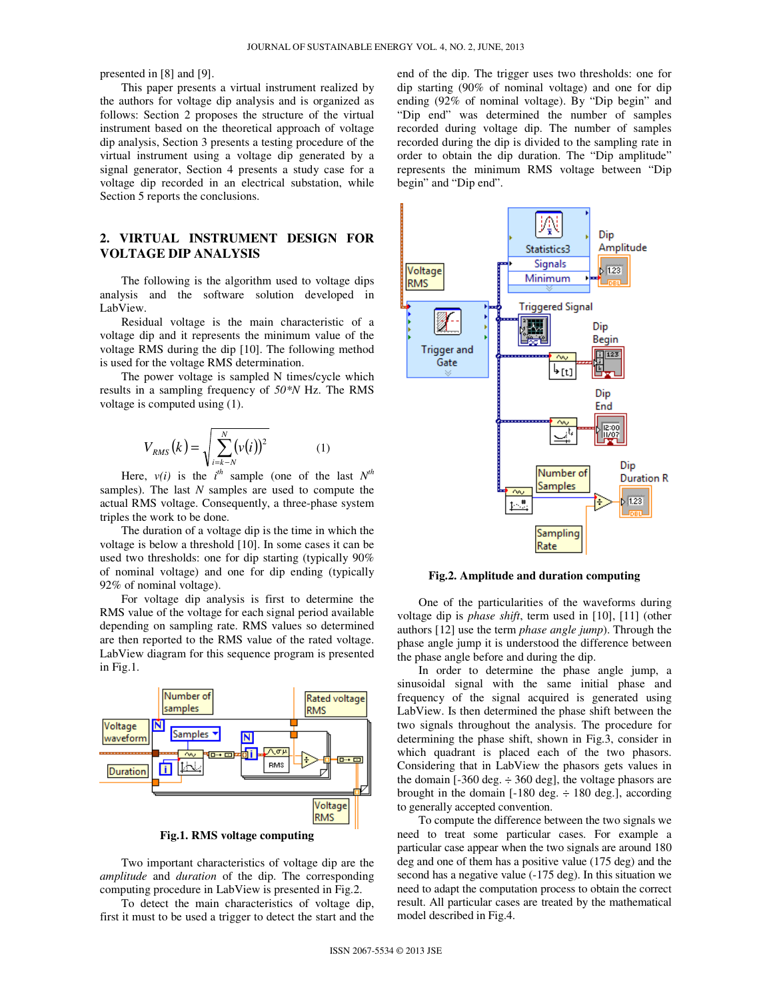presented in [8] and [9].

This paper presents a virtual instrument realized by the authors for voltage dip analysis and is organized as follows: Section 2 proposes the structure of the virtual instrument based on the theoretical approach of voltage dip analysis, Section 3 presents a testing procedure of the virtual instrument using a voltage dip generated by a signal generator, Section 4 presents a study case for a voltage dip recorded in an electrical substation, while Section 5 reports the conclusions.

## **2. VIRTUAL INSTRUMENT DESIGN FOR VOLTAGE DIP ANALYSIS**

The following is the algorithm used to voltage dips analysis and the software solution developed in LabView.

Residual voltage is the main characteristic of a voltage dip and it represents the minimum value of the voltage RMS during the dip [10]. The following method is used for the voltage RMS determination.

The power voltage is sampled N times/cycle which results in a sampling frequency of *50\*N* Hz. The RMS voltage is computed using (1).

$$
V_{RMS}(k) = \sqrt{\sum_{i=k-N}^{N} (v(i))^2}
$$
 (1)

Here,  $v(i)$  is the  $i^{th}$  sample (one of the last  $N^{th}$ samples). The last *N* samples are used to compute the actual RMS voltage. Consequently, a three-phase system triples the work to be done.

The duration of a voltage dip is the time in which the voltage is below a threshold [10]. In some cases it can be used two thresholds: one for dip starting (typically 90% of nominal voltage) and one for dip ending (typically 92% of nominal voltage).

For voltage dip analysis is first to determine the RMS value of the voltage for each signal period available depending on sampling rate. RMS values so determined are then reported to the RMS value of the rated voltage. LabView diagram for this sequence program is presented in Fig.1.



**Fig.1. RMS voltage computing** 

Two important characteristics of voltage dip are the *amplitude* and *duration* of the dip. The corresponding computing procedure in LabView is presented in Fig.2.

To detect the main characteristics of voltage dip, first it must to be used a trigger to detect the start and the end of the dip. The trigger uses two thresholds: one for dip starting (90% of nominal voltage) and one for dip ending (92% of nominal voltage). By "Dip begin" and "Dip end" was determined the number of samples recorded during voltage dip. The number of samples recorded during the dip is divided to the sampling rate in order to obtain the dip duration. The "Dip amplitude" represents the minimum RMS voltage between "Dip begin" and "Dip end".



**Fig.2. Amplitude and duration computing** 

One of the particularities of the waveforms during voltage dip is *phase shift*, term used in [10], [11] (other authors [12] use the term *phase angle jump*). Through the phase angle jump it is understood the difference between the phase angle before and during the dip.

In order to determine the phase angle jump, a sinusoidal signal with the same initial phase and frequency of the signal acquired is generated using LabView. Is then determined the phase shift between the two signals throughout the analysis. The procedure for determining the phase shift, shown in Fig.3, consider in which quadrant is placed each of the two phasors. Considering that in LabView the phasors gets values in the domain [-360 deg.  $\div$  360 deg], the voltage phasors are brought in the domain  $[-180 \text{ deg.} \div 180 \text{ deg.}]$ , according to generally accepted convention.

To compute the difference between the two signals we need to treat some particular cases. For example a particular case appear when the two signals are around 180 deg and one of them has a positive value (175 deg) and the second has a negative value (-175 deg). In this situation we need to adapt the computation process to obtain the correct result. All particular cases are treated by the mathematical model described in Fig.4.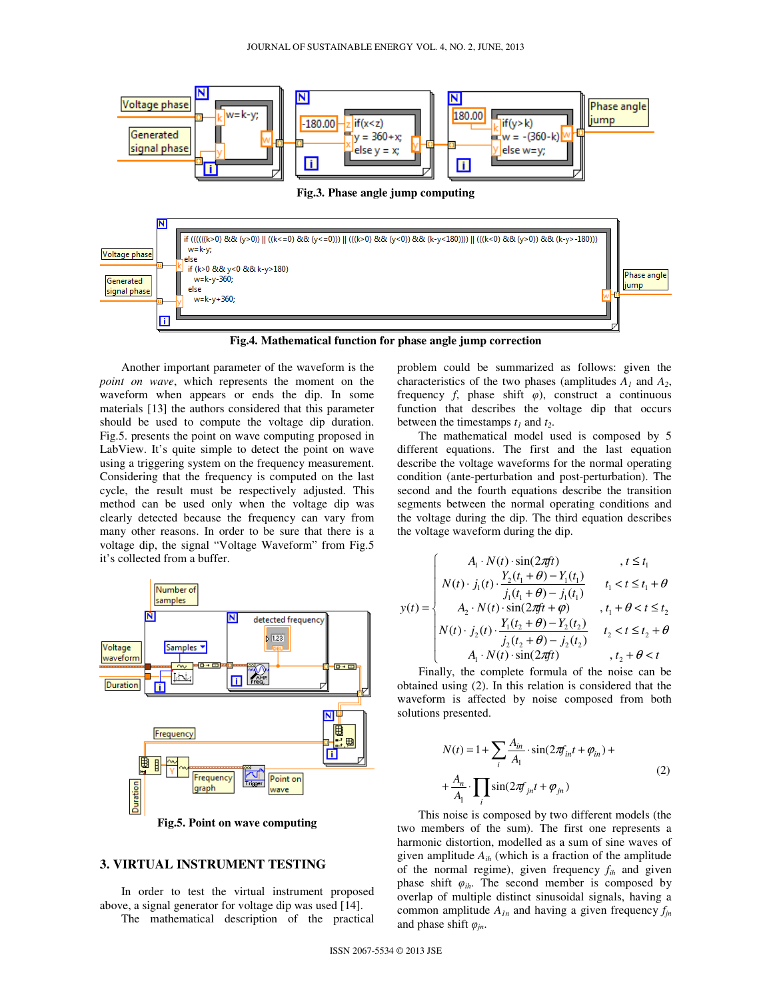

**Fig.4. Mathematical function for phase angle jump correction** 

Another important parameter of the waveform is the *point on wave*, which represents the moment on the waveform when appears or ends the dip. In some materials [13] the authors considered that this parameter should be used to compute the voltage dip duration. Fig.5. presents the point on wave computing proposed in LabView. It's quite simple to detect the point on wave using a triggering system on the frequency measurement. Considering that the frequency is computed on the last cycle, the result must be respectively adjusted. This method can be used only when the voltage dip was clearly detected because the frequency can vary from many other reasons. In order to be sure that there is a voltage dip, the signal "Voltage Waveform" from Fig.5 it's collected from a buffer.



**Fig.5. Point on wave computing** 

#### **3. VIRTUAL INSTRUMENT TESTING**

In order to test the virtual instrument proposed above, a signal generator for voltage dip was used [14].

The mathematical description of the practical

problem could be summarized as follows: given the characteristics of the two phases (amplitudes  $A_I$  and  $A_2$ , frequency  $f$ , phase shift  $\varphi$ ), construct a continuous function that describes the voltage dip that occurs between the timestamps  $t_1$  and  $t_2$ .

The mathematical model used is composed by 5 different equations. The first and the last equation describe the voltage waveforms for the normal operating condition (ante-perturbation and post-perturbation). The second and the fourth equations describe the transition segments between the normal operating conditions and the voltage during the dip. The third equation describes the voltage waveform during the dip.

$$
y(t) = \begin{cases} A_{1} \cdot N(t) \cdot \sin(2\pi ft) & , t \leq t_{1} \\ N(t) \cdot j_{1}(t) \cdot \frac{Y_{2}(t_{1} + \theta) - Y_{1}(t_{1})}{j_{1}(t_{1} + \theta) - j_{1}(t_{1})} & t_{1} < t \leq t_{1} + \theta \\ A_{2} \cdot N(t) \cdot \sin(2\pi ft + \varphi) & , t_{1} + \theta < t \leq t_{2} \\ N(t) \cdot j_{2}(t) \cdot \frac{Y_{1}(t_{2} + \theta) - Y_{2}(t_{2})}{j_{2}(t_{2} + \theta) - j_{2}(t_{2})} & t_{2} < t \leq t_{2} + \theta \\ A_{1} \cdot N(t) \cdot \sin(2\pi ft) & , t_{2} + \theta < t \end{cases}
$$

Finally, the complete formula of the noise can be obtained using (2). In this relation is considered that the waveform is affected by noise composed from both solutions presented.

$$
N(t) = 1 + \sum_{i} \frac{A_{in}}{A_1} \cdot \sin(2\pi f_{in} t + \varphi_{in}) +
$$
  
+ 
$$
\frac{A_n}{A_1} \cdot \prod_{i} \sin(2\pi f_{in} t + \varphi_{in})
$$
 (2)

This noise is composed by two different models (the two members of the sum). The first one represents a harmonic distortion, modelled as a sum of sine waves of given amplitude *Aih* (which is a fraction of the amplitude of the normal regime), given frequency *fih* and given phase shift  $\varphi_{ih}$ . The second member is composed by overlap of multiple distinct sinusoidal signals, having a common amplitude  $A_{1n}$  and having a given frequency  $f_{in}$ and phase shift φ*jn*.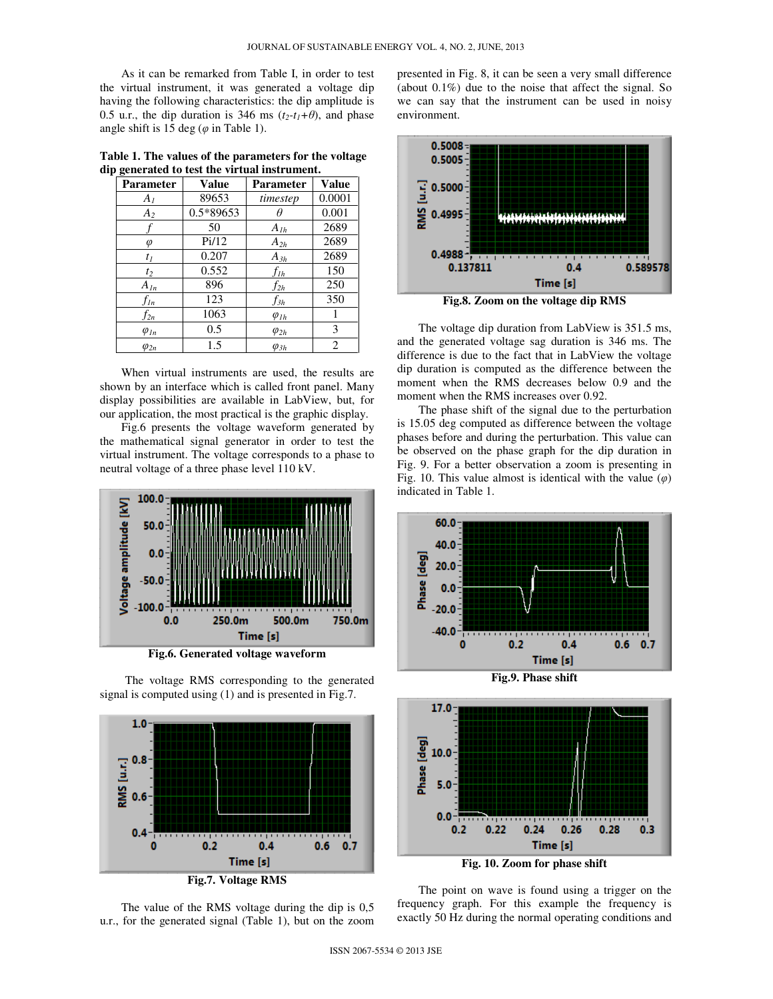As it can be remarked from Table I, in order to test the virtual instrument, it was generated a voltage dip having the following characteristics: the dip amplitude is 0.5 u.r., the dip duration is 346 ms  $(t_2-t_1+\theta)$ , and phase angle shift is 15 deg ( $\varphi$  in Table 1).

**Table 1. The values of the parameters for the voltage dip generated to test the virtual instrument.** 

| Parameter      | <b>Value</b> | <b>Parameter</b> | <b>Value</b> |
|----------------|--------------|------------------|--------------|
| $A_I$          | 89653        | timestep         | 0.0001       |
| A <sub>2</sub> | 0.5*89653    |                  | 0.001        |
|                | 50           | $A_{1h}$         | 2689         |
| φ              | Pi/12        | $A_{2h}$         | 2689         |
| $t_I$          | 0.207        | $A_{3h}$         | 2689         |
| $t_2$          | 0.552        | $f_{lh}$         | 150          |
| $A_{ln}$       | 896          | $f_{2h}$         | 250          |
| $f_{ln}$       | 123          | fзh              | 350          |
| $f_{2n}$       | 1063         | $\varphi_{1h}$   |              |
| $\varphi_{1n}$ | 0.5          | $\varphi_{2h}$   | 3            |
| $\varphi_{2n}$ | 1.5          | $\varphi_{3h}$   | 2            |

When virtual instruments are used, the results are shown by an interface which is called front panel. Many display possibilities are available in LabView, but, for our application, the most practical is the graphic display.

Fig.6 presents the voltage waveform generated by the mathematical signal generator in order to test the virtual instrument. The voltage corresponds to a phase to neutral voltage of a three phase level 110 kV.



**Fig.6. Generated voltage waveform** 

The voltage RMS corresponding to the generated signal is computed using (1) and is presented in Fig.7.



The value of the RMS voltage during the dip is 0,5 u.r., for the generated signal (Table 1), but on the zoom

presented in Fig. 8, it can be seen a very small difference (about 0.1%) due to the noise that affect the signal. So we can say that the instrument can be used in noisy environment.



**Fig.8. Zoom on the voltage dip RMS** 

The voltage dip duration from LabView is 351.5 ms, and the generated voltage sag duration is 346 ms. The difference is due to the fact that in LabView the voltage dip duration is computed as the difference between the moment when the RMS decreases below 0.9 and the moment when the RMS increases over 0.92.

The phase shift of the signal due to the perturbation is 15.05 deg computed as difference between the voltage phases before and during the perturbation. This value can be observed on the phase graph for the dip duration in Fig. 9. For a better observation a zoom is presenting in Fig. 10. This value almost is identical with the value  $(\varphi)$ indicated in Table 1.



**Fig.9. Phase shift** 



The point on wave is found using a trigger on the frequency graph. For this example the frequency is exactly 50 Hz during the normal operating conditions and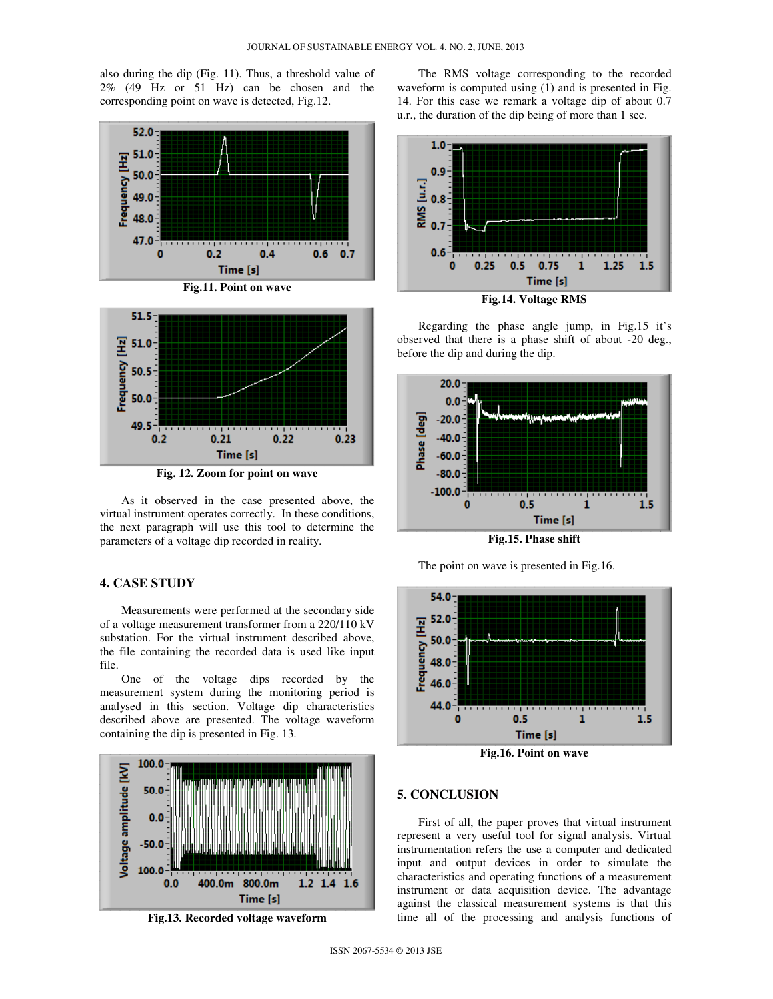also during the dip (Fig. 11). Thus, a threshold value of 2% (49 Hz or 51 Hz) can be chosen and the corresponding point on wave is detected, Fig.12.





**Fig. 12. Zoom for point on wave** 

As it observed in the case presented above, the virtual instrument operates correctly. In these conditions, the next paragraph will use this tool to determine the parameters of a voltage dip recorded in reality.

## **4. CASE STUDY**

Measurements were performed at the secondary side of a voltage measurement transformer from a 220/110 kV substation. For the virtual instrument described above, the file containing the recorded data is used like input file.

One of the voltage dips recorded by the measurement system during the monitoring period is analysed in this section. Voltage dip characteristics described above are presented. The voltage waveform containing the dip is presented in Fig. 13.





The RMS voltage corresponding to the recorded waveform is computed using (1) and is presented in Fig. 14. For this case we remark a voltage dip of about 0.7 u.r., the duration of the dip being of more than 1 sec.



Regarding the phase angle jump, in Fig.15 it's observed that there is a phase shift of about -20 deg., before the dip and during the dip.



**Fig.15. Phase shift** 

The point on wave is presented in Fig.16.



### **5. CONCLUSION**

First of all, the paper proves that virtual instrument represent a very useful tool for signal analysis. Virtual instrumentation refers the use a computer and dedicated input and output devices in order to simulate the characteristics and operating functions of a measurement instrument or data acquisition device. The advantage against the classical measurement systems is that this time all of the processing and analysis functions of